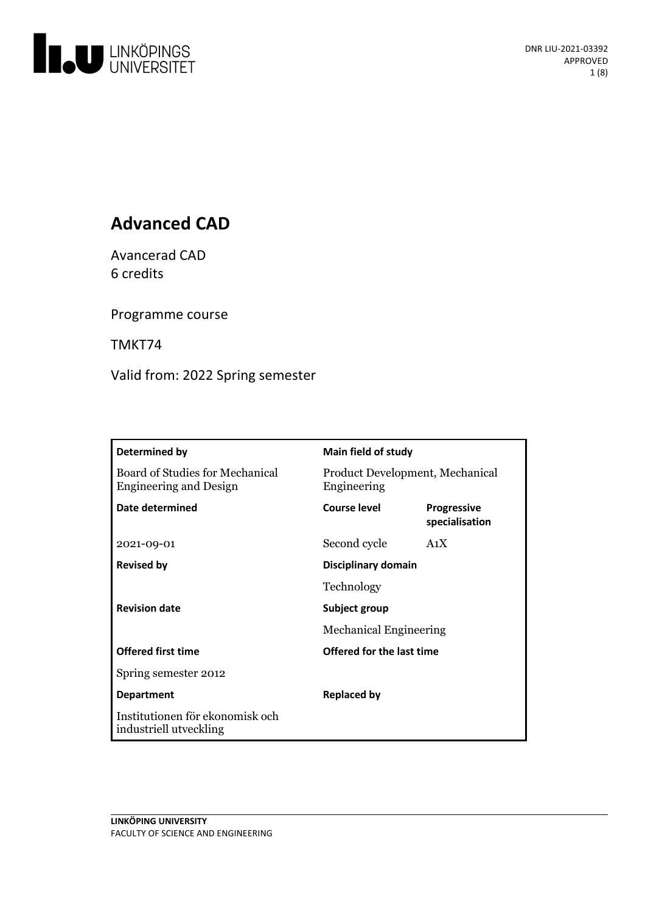

# **Advanced CAD**

Avancerad CAD 6 credits

Programme course

TMKT74

Valid from: 2022 Spring semester

| Determined by                                                    | <b>Main field of study</b>                     |                                      |
|------------------------------------------------------------------|------------------------------------------------|--------------------------------------|
| Board of Studies for Mechanical<br><b>Engineering and Design</b> | Product Development, Mechanical<br>Engineering |                                      |
| Date determined                                                  | Course level                                   | <b>Progressive</b><br>specialisation |
| 2021-09-01                                                       | Second cycle                                   | A <sub>1</sub> X                     |
| <b>Revised by</b>                                                | Disciplinary domain                            |                                      |
|                                                                  | Technology                                     |                                      |
| <b>Revision date</b>                                             | Subject group                                  |                                      |
|                                                                  | <b>Mechanical Engineering</b>                  |                                      |
| <b>Offered first time</b>                                        | Offered for the last time                      |                                      |
| Spring semester 2012                                             |                                                |                                      |
| <b>Department</b>                                                | <b>Replaced by</b>                             |                                      |
| Institutionen för ekonomisk och<br>industriell utveckling        |                                                |                                      |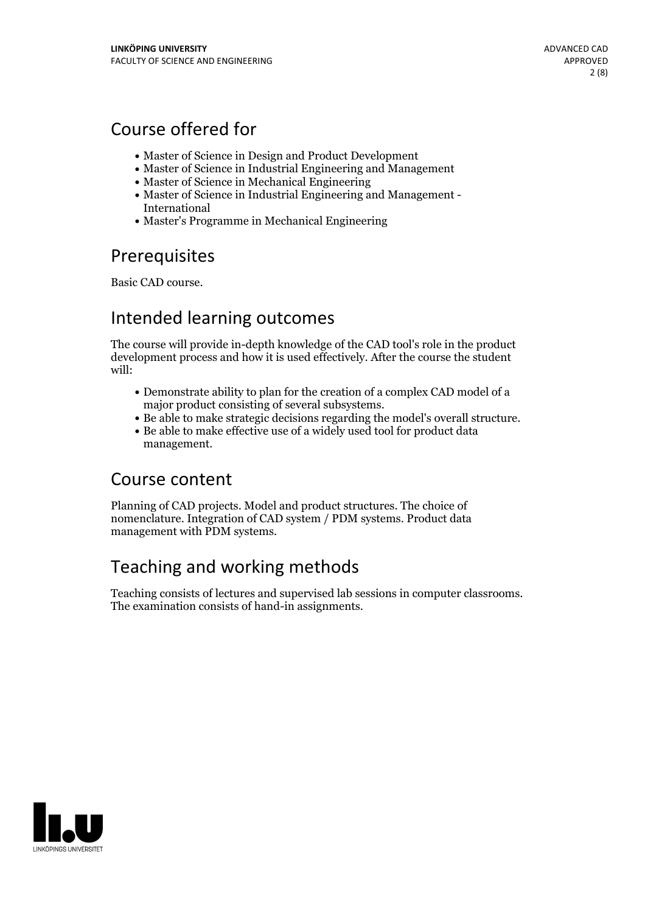## Course offered for

- Master of Science in Design and Product Development
- Master of Science in Industrial Engineering and Management
- Master of Science in Mechanical Engineering
- Master of Science in Industrial Engineering and Management International
- Master's Programme in Mechanical Engineering

## Prerequisites

Basic CAD course.

## Intended learning outcomes

The course will provide in-depth knowledge of the CAD tool's role in the product development process and how it is used effectively. After the course the student will:

- Demonstrate ability to plan for the creation of a complex CAD model of a
- major product consisting of several subsystems. Be able to make strategic decisions regarding the model's overall structure. Be able to make effective use ofa widely used tool for product data
- management.

## Course content

Planning of CAD projects. Model and product structures. The choice of nomenclature. Integration of CAD system / PDM systems. Product data management with PDM systems.

# Teaching and working methods

Teaching consists of lectures and supervised lab sessions in computer classrooms. The examination consists of hand-in assignments.

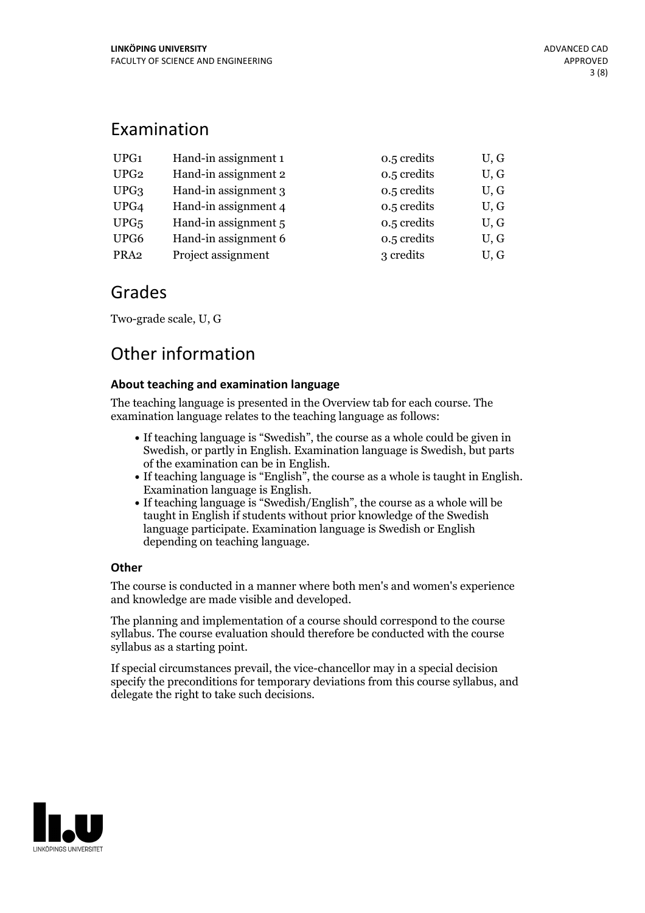## Examination

| UPG1             | Hand-in assignment 1 | 0.5 credits | U, G |
|------------------|----------------------|-------------|------|
| UPG <sub>2</sub> | Hand-in assignment 2 | 0.5 credits | U, G |
| UPG <sub>3</sub> | Hand-in assignment 3 | 0.5 credits | U, G |
| UPG4             | Hand-in assignment 4 | 0.5 credits | U, G |
| UPG <sub>5</sub> | Hand-in assignment 5 | 0.5 credits | U, G |
| UPG6             | Hand-in assignment 6 | 0.5 credits | U, G |
| PRA <sub>2</sub> | Project assignment   | 3 credits   | U, G |

## Grades

Two-grade scale, U, G

# Other information

### **About teaching and examination language**

The teaching language is presented in the Overview tab for each course. The examination language relates to the teaching language as follows:

- If teaching language is "Swedish", the course as a whole could be given in Swedish, or partly in English. Examination language is Swedish, but parts
- of the examination can be in English. If teaching language is "English", the course as <sup>a</sup> whole is taught in English. Examination language is English. If teaching language is "Swedish/English", the course as <sup>a</sup> whole will be
- taught in English if students without prior knowledge of the Swedish language participate. Examination language is Swedish or English depending on teaching language.

### **Other**

The course is conducted in a manner where both men's and women's experience and knowledge are made visible and developed.

The planning and implementation of a course should correspond to the course syllabus. The course evaluation should therefore be conducted with the course syllabus as a starting point.

If special circumstances prevail, the vice-chancellor may in a special decision specify the preconditions for temporary deviations from this course syllabus, and delegate the right to take such decisions.

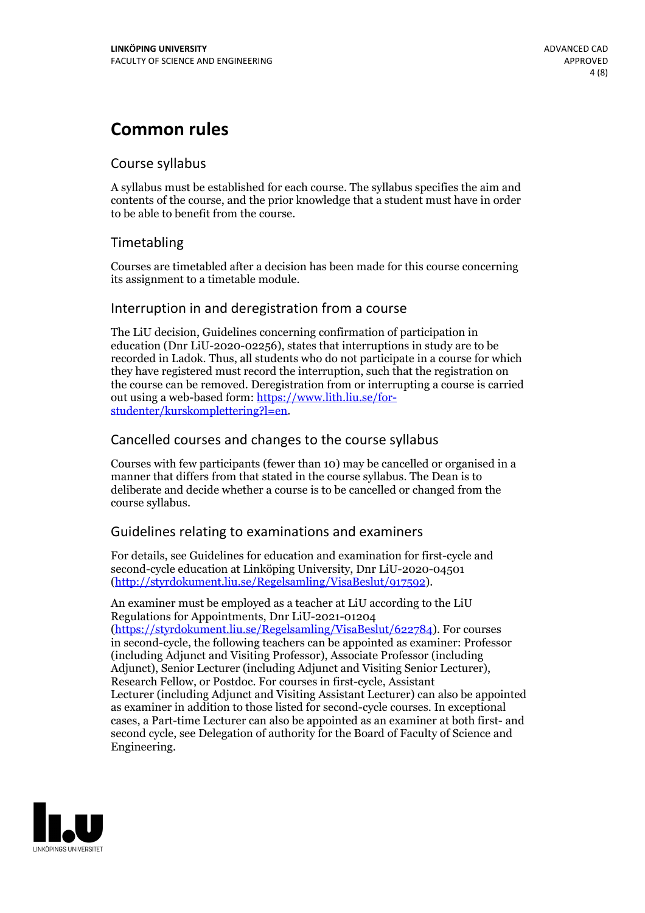# **Common rules**

## Course syllabus

A syllabus must be established for each course. The syllabus specifies the aim and contents of the course, and the prior knowledge that a student must have in order to be able to benefit from the course.

## Timetabling

Courses are timetabled after a decision has been made for this course concerning its assignment to a timetable module.

### Interruption in and deregistration from a course

The LiU decision, Guidelines concerning confirmation of participation in education (Dnr LiU-2020-02256), states that interruptions in study are to be recorded in Ladok. Thus, all students who do not participate in a course for which they have registered must record the interruption, such that the registration on the course can be removed. Deregistration from or interrupting a course is carried out using <sup>a</sup> web-based form: https://www.lith.liu.se/for- [studenter/kurskomplettering?l=en.](https://www.lith.liu.se/for-studenter/kurskomplettering?l=en)

## Cancelled courses and changes to the course syllabus

Courses with few participants (fewer than 10) may be cancelled or organised in a manner that differs from that stated in the course syllabus. The Dean is to deliberate and decide whether a course is to be cancelled or changed from the course syllabus.

## Guidelines relating to examinations and examiners

For details, see Guidelines for education and examination for first-cycle and second-cycle education at Linköping University, Dnr LiU-2020-04501 [\(http://styrdokument.liu.se/Regelsamling/VisaBeslut/917592\)](http://styrdokument.liu.se/Regelsamling/VisaBeslut/917592).

An examiner must be employed as a teacher at LiU according to the LiU Regulations for Appointments, Dnr LiU-2021-01204 [\(https://styrdokument.liu.se/Regelsamling/VisaBeslut/622784](https://styrdokument.liu.se/Regelsamling/VisaBeslut/622784)). For courses in second-cycle, the following teachers can be appointed as examiner: Professor (including Adjunct and Visiting Professor), Associate Professor (including Adjunct), Senior Lecturer (including Adjunct and Visiting Senior Lecturer), Research Fellow, or Postdoc. For courses in first-cycle, Assistant Lecturer (including Adjunct and Visiting Assistant Lecturer) can also be appointed as examiner in addition to those listed for second-cycle courses. In exceptional cases, a Part-time Lecturer can also be appointed as an examiner at both first- and second cycle, see Delegation of authority for the Board of Faculty of Science and Engineering.

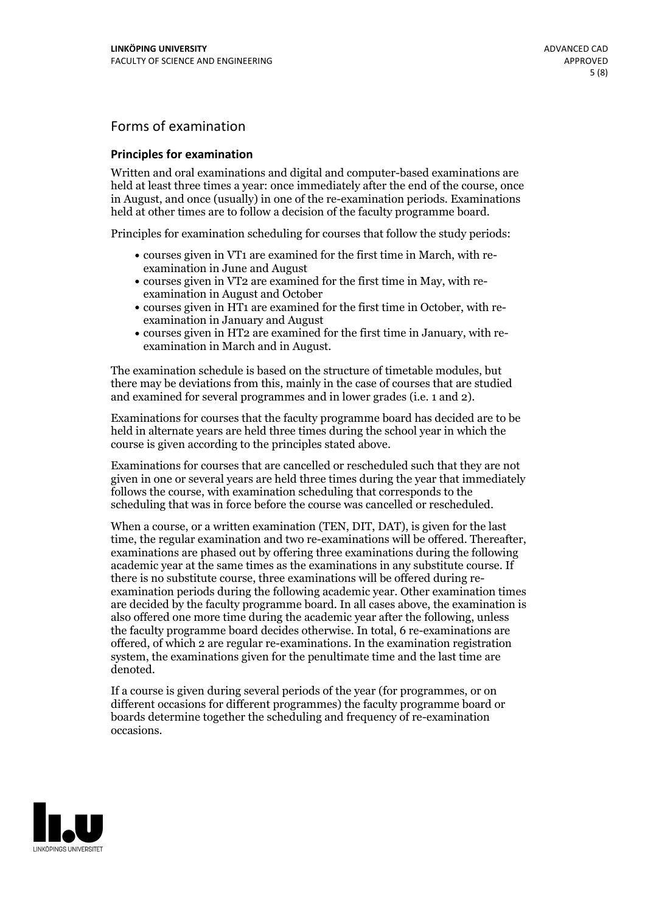## Forms of examination

#### **Principles for examination**

Written and oral examinations and digital and computer-based examinations are held at least three times a year: once immediately after the end of the course, once in August, and once (usually) in one of the re-examination periods. Examinations held at other times are to follow a decision of the faculty programme board.

Principles for examination scheduling for courses that follow the study periods:

- courses given in VT1 are examined for the first time in March, with re-examination in June and August
- courses given in VT2 are examined for the first time in May, with re-examination in August and October
- courses given in HT1 are examined for the first time in October, with re-examination in January and August
- courses given in HT2 are examined for the first time in January, with re-examination in March and in August.

The examination schedule is based on the structure of timetable modules, but there may be deviations from this, mainly in the case of courses that are studied and examined for several programmes and in lower grades (i.e. 1 and 2).

Examinations for courses that the faculty programme board has decided are to be held in alternate years are held three times during the school year in which the course is given according to the principles stated above.

Examinations for courses that are cancelled orrescheduled such that they are not given in one or several years are held three times during the year that immediately follows the course, with examination scheduling that corresponds to the scheduling that was in force before the course was cancelled or rescheduled.

When a course, or a written examination (TEN, DIT, DAT), is given for the last time, the regular examination and two re-examinations will be offered. Thereafter, examinations are phased out by offering three examinations during the following academic year at the same times as the examinations in any substitute course. If there is no substitute course, three examinations will be offered during re- examination periods during the following academic year. Other examination times are decided by the faculty programme board. In all cases above, the examination is also offered one more time during the academic year after the following, unless the faculty programme board decides otherwise. In total, 6 re-examinations are offered, of which 2 are regular re-examinations. In the examination registration system, the examinations given for the penultimate time and the last time are denoted.

If a course is given during several periods of the year (for programmes, or on different occasions for different programmes) the faculty programme board or boards determine together the scheduling and frequency of re-examination occasions.

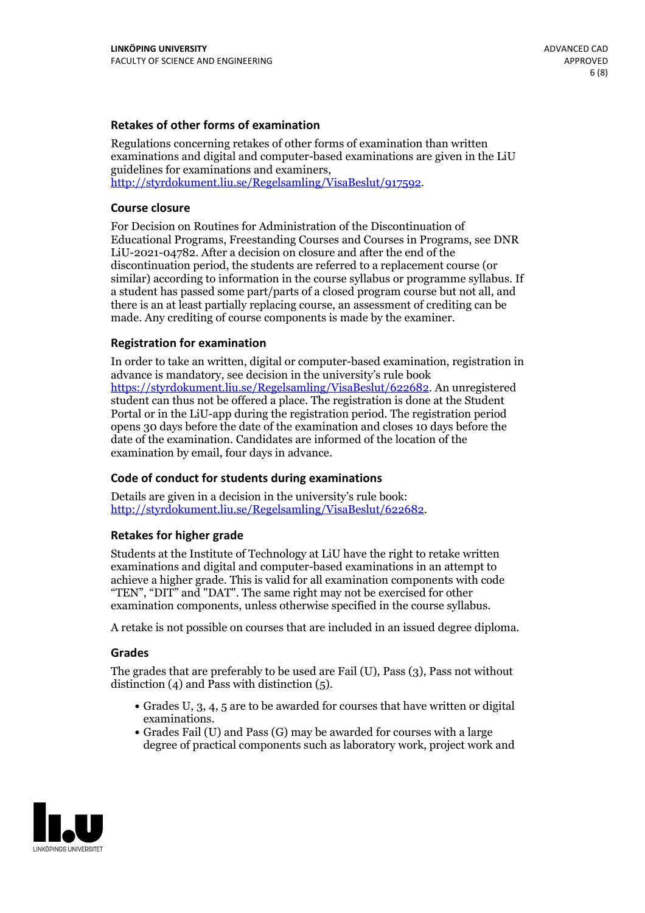### **Retakes of other forms of examination**

Regulations concerning retakes of other forms of examination than written examinations and digital and computer-based examinations are given in the LiU guidelines for examinations and examiners, [http://styrdokument.liu.se/Regelsamling/VisaBeslut/917592.](http://styrdokument.liu.se/Regelsamling/VisaBeslut/917592)

#### **Course closure**

For Decision on Routines for Administration of the Discontinuation of Educational Programs, Freestanding Courses and Courses in Programs, see DNR LiU-2021-04782. After a decision on closure and after the end of the discontinuation period, the students are referred to a replacement course (or similar) according to information in the course syllabus or programme syllabus. If a student has passed some part/parts of a closed program course but not all, and there is an at least partially replacing course, an assessment of crediting can be made. Any crediting of course components is made by the examiner.

### **Registration for examination**

In order to take an written, digital or computer-based examination, registration in advance is mandatory, see decision in the university's rule book [https://styrdokument.liu.se/Regelsamling/VisaBeslut/622682.](https://styrdokument.liu.se/Regelsamling/VisaBeslut/622682) An unregistered student can thus not be offered a place. The registration is done at the Student Portal or in the LiU-app during the registration period. The registration period opens 30 days before the date of the examination and closes 10 days before the date of the examination. Candidates are informed of the location of the examination by email, four days in advance.

### **Code of conduct for students during examinations**

Details are given in a decision in the university's rule book: <http://styrdokument.liu.se/Regelsamling/VisaBeslut/622682>.

#### **Retakes for higher grade**

Students at the Institute of Technology at LiU have the right to retake written examinations and digital and computer-based examinations in an attempt to achieve a higher grade. This is valid for all examination components with code "TEN", "DIT" and "DAT". The same right may not be exercised for other examination components, unless otherwise specified in the course syllabus.

A retake is not possible on courses that are included in an issued degree diploma.

#### **Grades**

The grades that are preferably to be used are Fail (U), Pass (3), Pass not without distinction  $(4)$  and Pass with distinction  $(5)$ .

- Grades U, 3, 4, 5 are to be awarded for courses that have written or digital examinations.<br>• Grades Fail (U) and Pass (G) may be awarded for courses with a large
- degree of practical components such as laboratory work, project work and

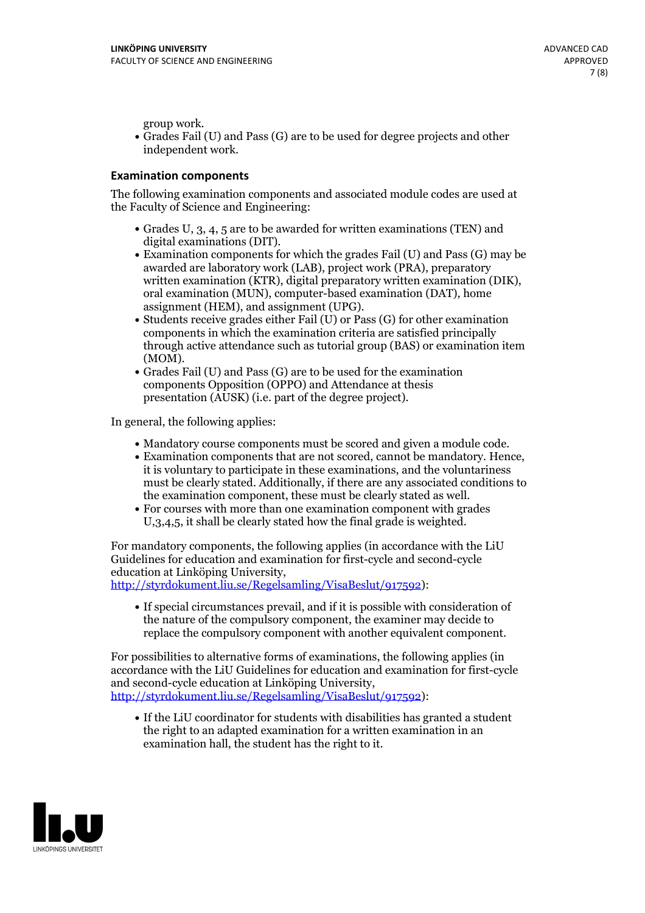group work.<br>• Grades Fail (U) and Pass (G) are to be used for degree projects and other independent work.

#### **Examination components**

The following examination components and associated module codes are used at the Faculty of Science and Engineering:

- Grades U, 3, 4, 5 are to be awarded for written examinations (TEN) and
- digital examinations (DIT).<br>• Examination components for which the grades Fail (U) and Pass (G) may be awarded are laboratory work (LAB), project work (PRA), preparatory written examination (KTR), digital preparatory written examination (DIK), oral examination (MUN), computer-based examination (DAT), home
- assignment (HEM), and assignment (UPG).<br>• Students receive grades either Fail (U) or Pass (G) for other examination components in which the examination criteria are satisfied principally through active attendance such as tutorial group (BAS) or examination item
- (MOM).<br>• Grades Fail (U) and Pass (G) are to be used for the examination components Opposition (OPPO) and Attendance at thesis presentation (AUSK) (i.e. part of the degree project).

In general, the following applies:

- 
- Mandatory course components must be scored and given <sup>a</sup> module code. Examination components that are not scored, cannot be mandatory. Hence, it is voluntary to participate in these examinations, and the voluntariness must be clearly stated. Additionally, if there are any associated conditions to
- the examination component, these must be clearly stated as well.<br>• For courses with more than one examination component with grades U,3,4,5, it shall be clearly stated how the final grade is weighted.

For mandatory components, the following applies (in accordance with the LiU Guidelines for education and examination for first-cycle and second-cycle education at Linköping University,<br>[http://styrdokument.liu.se/Regelsamling/VisaBeslut/917592\)](http://styrdokument.liu.se/Regelsamling/VisaBeslut/917592):

If special circumstances prevail, and if it is possible with consideration of the nature of the compulsory component, the examiner may decide to replace the compulsory component with another equivalent component.

For possibilities to alternative forms of examinations, the following applies (in accordance with the LiU Guidelines for education and examination for first-cycle [http://styrdokument.liu.se/Regelsamling/VisaBeslut/917592\)](http://styrdokument.liu.se/Regelsamling/VisaBeslut/917592):

If the LiU coordinator for students with disabilities has granted a student the right to an adapted examination for a written examination in an examination hall, the student has the right to it.